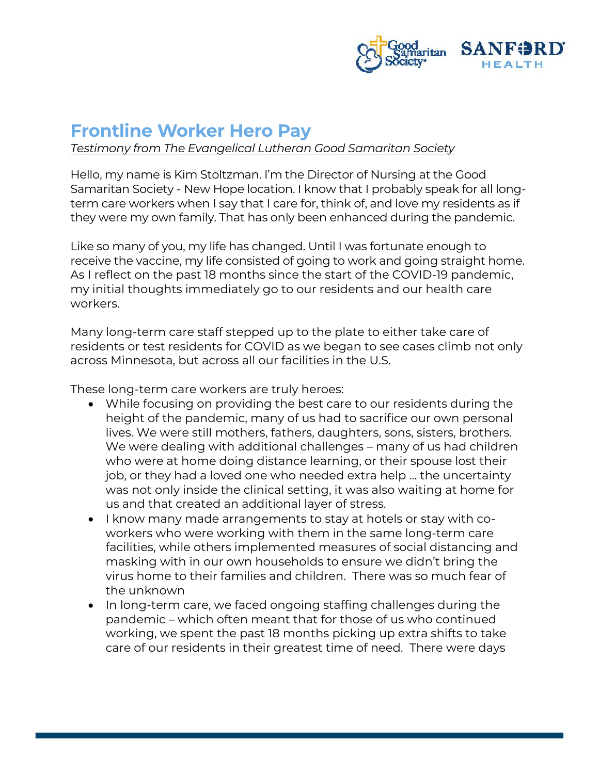

## **Frontline Worker Hero Pay**

*Testimony from The Evangelical Lutheran Good Samaritan Society* 

Hello, my name is Kim Stoltzman. I'm the Director of Nursing at the Good Samaritan Society - New Hope location. I know that I probably speak for all longterm care workers when I say that I care for, think of, and love my residents as if they were my own family. That has only been enhanced during the pandemic.

Like so many of you, my life has changed. Until I was fortunate enough to receive the vaccine, my life consisted of going to work and going straight home. As I reflect on the past 18 months since the start of the COVID-19 pandemic, my initial thoughts immediately go to our residents and our health care workers.

Many long-term care staff stepped up to the plate to either take care of residents or test residents for COVID as we began to see cases climb not only across Minnesota, but across all our facilities in the U.S.

These long-term care workers are truly heroes:

- While focusing on providing the best care to our residents during the height of the pandemic, many of us had to sacrifice our own personal lives. We were still mothers, fathers, daughters, sons, sisters, brothers. We were dealing with additional challenges – many of us had children who were at home doing distance learning, or their spouse lost their job, or they had a loved one who needed extra help … the uncertainty was not only inside the clinical setting, it was also waiting at home for us and that created an additional layer of stress.
- I know many made arrangements to stay at hotels or stay with coworkers who were working with them in the same long-term care facilities, while others implemented measures of social distancing and masking with in our own households to ensure we didn't bring the virus home to their families and children. There was so much fear of the unknown
- In long-term care, we faced ongoing staffing challenges during the pandemic – which often meant that for those of us who continued working, we spent the past 18 months picking up extra shifts to take care of our residents in their greatest time of need. There were days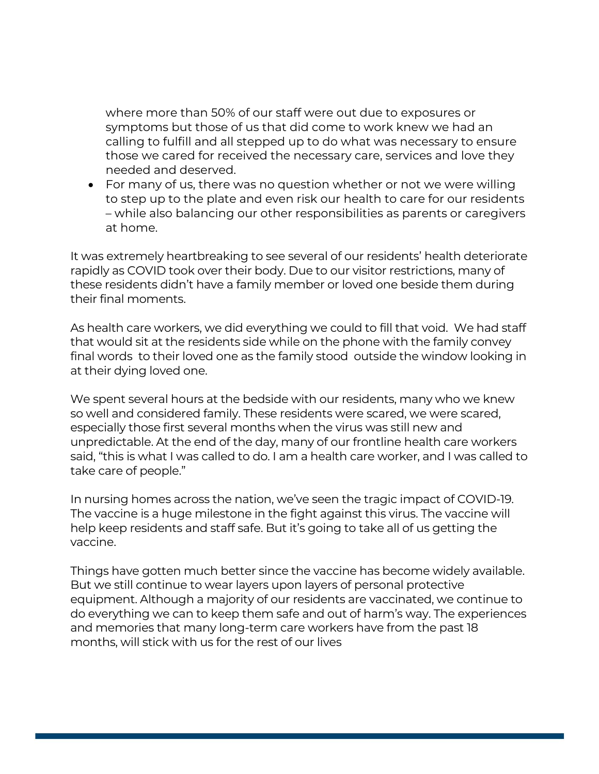where more than 50% of our staff were out due to exposures or symptoms but those of us that did come to work knew we had an calling to fulfill and all stepped up to do what was necessary to ensure those we cared for received the necessary care, services and love they needed and deserved.

• For many of us, there was no question whether or not we were willing to step up to the plate and even risk our health to care for our residents – while also balancing our other responsibilities as parents or caregivers at home.

It was extremely heartbreaking to see several of our residents' health deteriorate rapidly as COVID took over their body. Due to our visitor restrictions, many of these residents didn't have a family member or loved one beside them during their final moments.

As health care workers, we did everything we could to fill that void. We had staff that would sit at the residents side while on the phone with the family convey final words to their loved one as the family stood outside the window looking in at their dying loved one.

We spent several hours at the bedside with our residents, many who we knew so well and considered family. These residents were scared, we were scared, especially those first several months when the virus was still new and unpredictable. At the end of the day, many of our frontline health care workers said, "this is what I was called to do. I am a health care worker, and I was called to take care of people."

In nursing homes across the nation, we've seen the tragic impact of COVID-19. The vaccine is a huge milestone in the fight against this virus. The vaccine will help keep residents and staff safe. But it's going to take all of us getting the vaccine.

Things have gotten much better since the vaccine has become widely available. But we still continue to wear layers upon layers of personal protective equipment. Although a majority of our residents are vaccinated, we continue to do everything we can to keep them safe and out of harm's way. The experiences and memories that many long-term care workers have from the past 18 months, will stick with us for the rest of our lives